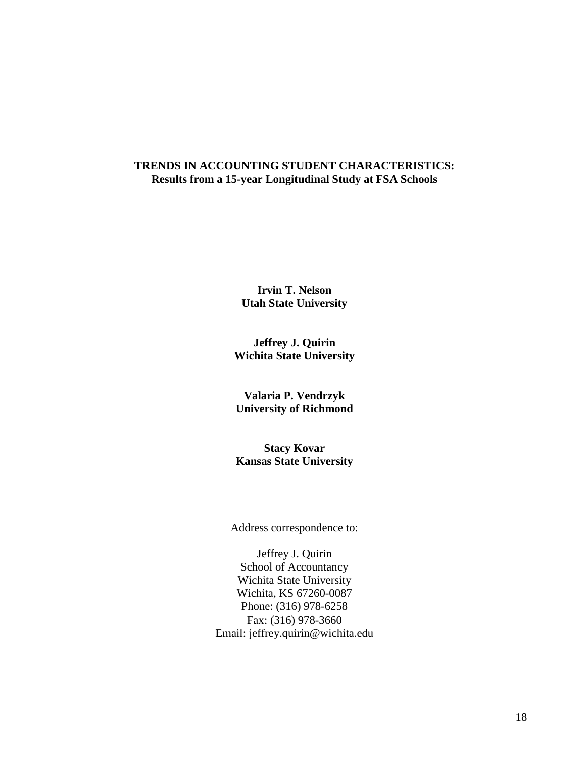# **TRENDS IN ACCOUNTING STUDENT CHARACTERISTICS: Results from a 15-year Longitudinal Study at FSA Schools**

**Irvin T. Nelson Utah State University**

**Jeffrey J. Quirin Wichita State University**

**Valaria P. Vendrzyk University of Richmond**

**Stacy Kovar Kansas State University**

Address correspondence to:

Jeffrey J. Quirin School of Accountancy Wichita State University Wichita, KS 67260-0087 Phone: (316) 978-6258 Fax: (316) 978-3660 Email: jeffrey.quirin@wichita.edu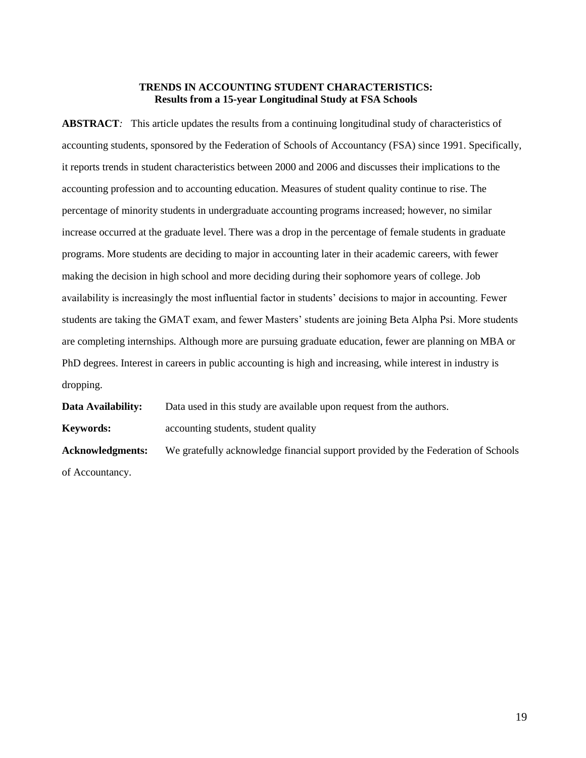## **TRENDS IN ACCOUNTING STUDENT CHARACTERISTICS: Results from a 15-year Longitudinal Study at FSA Schools**

**ABSTRACT***:* This article updates the results from a continuing longitudinal study of characteristics of accounting students, sponsored by the Federation of Schools of Accountancy (FSA) since 1991. Specifically, it reports trends in student characteristics between 2000 and 2006 and discusses their implications to the accounting profession and to accounting education. Measures of student quality continue to rise. The percentage of minority students in undergraduate accounting programs increased; however, no similar increase occurred at the graduate level. There was a drop in the percentage of female students in graduate programs. More students are deciding to major in accounting later in their academic careers, with fewer making the decision in high school and more deciding during their sophomore years of college. Job availability is increasingly the most influential factor in students' decisions to major in accounting. Fewer students are taking the GMAT exam, and fewer Masters' students are joining Beta Alpha Psi. More students are completing internships. Although more are pursuing graduate education, fewer are planning on MBA or PhD degrees. Interest in careers in public accounting is high and increasing, while interest in industry is dropping.

**Data Availability:** Data used in this study are available upon request from the authors. **Keywords:** accounting students, student quality **Acknowledgments:** We gratefully acknowledge financial support provided by the Federation of Schools of Accountancy.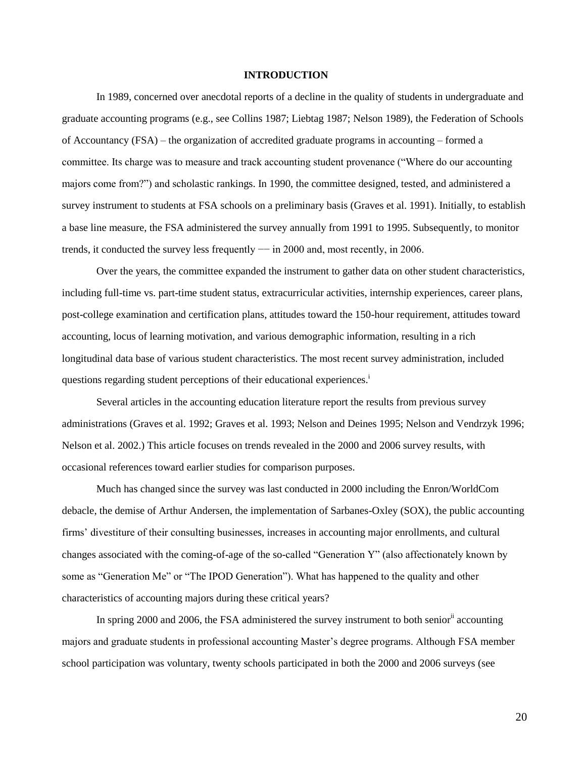#### **INTRODUCTION**

In 1989, concerned over anecdotal reports of a decline in the quality of students in undergraduate and graduate accounting programs (e.g., see Collins 1987; Liebtag 1987; Nelson 1989), the Federation of Schools of Accountancy (FSA) – the organization of accredited graduate programs in accounting – formed a committee. Its charge was to measure and track accounting student provenance ("Where do our accounting majors come from?") and scholastic rankings. In 1990, the committee designed, tested, and administered a survey instrument to students at FSA schools on a preliminary basis (Graves et al. 1991). Initially, to establish a base line measure, the FSA administered the survey annually from 1991 to 1995. Subsequently, to monitor trends, it conducted the survey less frequently −− in 2000 and, most recently, in 2006.

Over the years, the committee expanded the instrument to gather data on other student characteristics, including full-time vs. part-time student status, extracurricular activities, internship experiences, career plans, post-college examination and certification plans, attitudes toward the 150-hour requirement, attitudes toward accounting, locus of learning motivation, and various demographic information, resulting in a rich longitudinal data base of various student characteristics. The most recent survey administration, included questions regarding student perceptions of their educational experiences.<sup>i</sup>

Several articles in the accounting education literature report the results from previous survey administrations (Graves et al. 1992; Graves et al. 1993; Nelson and Deines 1995; Nelson and Vendrzyk 1996; Nelson et al. 2002.) This article focuses on trends revealed in the 2000 and 2006 survey results, with occasional references toward earlier studies for comparison purposes.

Much has changed since the survey was last conducted in 2000 including the Enron/WorldCom debacle, the demise of Arthur Andersen, the implementation of Sarbanes-Oxley (SOX), the public accounting firms' divestiture of their consulting businesses, increases in accounting major enrollments, and cultural changes associated with the coming-of-age of the so-called "Generation Y" (also affectionately known by some as "Generation Me" or "The IPOD Generation"). What has happened to the quality and other characteristics of accounting majors during these critical years?

In spring 2000 and 2006, the FSA administered the survey instrument to both senior<sup>11</sup> accounting majors and graduate students in professional accounting Master's degree programs. Although FSA member school participation was voluntary, twenty schools participated in both the 2000 and 2006 surveys (see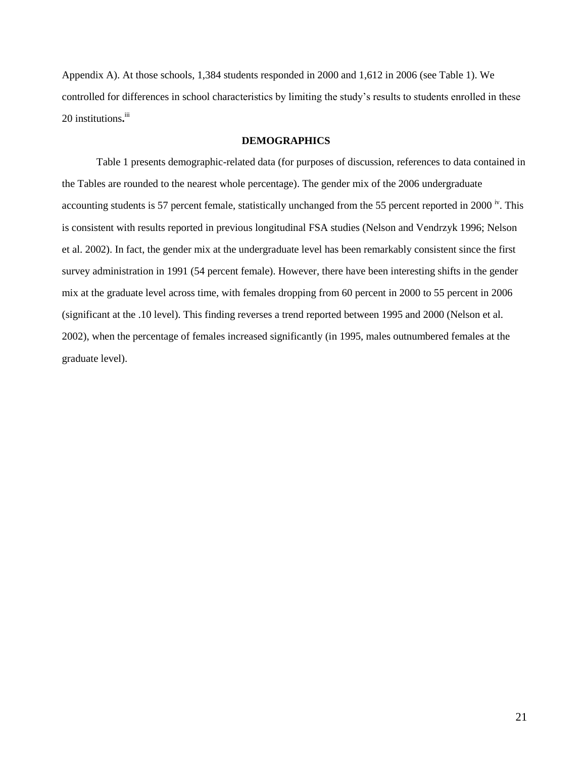Appendix A). At those schools, 1,384 students responded in 2000 and 1,612 in 2006 (see Table 1). We controlled for differences in school characteristics by limiting the study's results to students enrolled in these 20 institutions.<sup>iii</sup>

## **DEMOGRAPHICS**

Table 1 presents demographic-related data (for purposes of discussion, references to data contained in the Tables are rounded to the nearest whole percentage). The gender mix of the 2006 undergraduate accounting students is 57 percent female, statistically unchanged from the 55 percent reported in 2000<sup>iv</sup>. This is consistent with results reported in previous longitudinal FSA studies (Nelson and Vendrzyk 1996; Nelson et al. 2002). In fact, the gender mix at the undergraduate level has been remarkably consistent since the first survey administration in 1991 (54 percent female). However, there have been interesting shifts in the gender mix at the graduate level across time, with females dropping from 60 percent in 2000 to 55 percent in 2006 (significant at the .10 level). This finding reverses a trend reported between 1995 and 2000 (Nelson et al. 2002), when the percentage of females increased significantly (in 1995, males outnumbered females at the graduate level).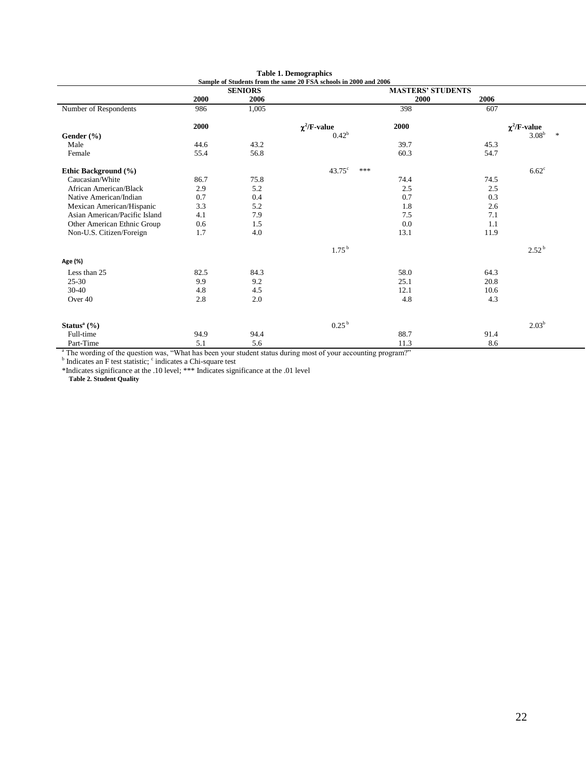|                               |      | <b>SENIORS</b> | $\alpha$ state of students if our the same zo $\Gamma\beta\Lambda$ schools in zood and zood | <b>MASTERS' STUDENTS</b> |      |                             |
|-------------------------------|------|----------------|---------------------------------------------------------------------------------------------|--------------------------|------|-----------------------------|
|                               | 2000 | 2006           |                                                                                             | 2000                     | 2006 |                             |
| Number of Respondents         | 986  | 1,005          |                                                                                             | 398                      | 607  |                             |
|                               | 2000 |                | $\chi^2$ /F-value                                                                           | 2000                     |      | $\chi^2$ /F-value           |
| Gender $(\% )$                |      |                | $0.42^{\rm b}$                                                                              |                          |      | 3.08 <sup>b</sup><br>$\ast$ |
| Male                          | 44.6 | 43.2           |                                                                                             | 39.7                     | 45.3 |                             |
| Female                        | 55.4 | 56.8           |                                                                                             | 60.3                     | 54.7 |                             |
| Ethic Background (%)          |      |                | $43.75^{\circ}$<br>***                                                                      |                          |      | $6.62^{\circ}$              |
| Caucasian/White               | 86.7 | 75.8           |                                                                                             | 74.4                     | 74.5 |                             |
| African American/Black        | 2.9  | 5.2            |                                                                                             | 2.5                      | 2.5  |                             |
| Native American/Indian        | 0.7  | 0.4            |                                                                                             | 0.7                      | 0.3  |                             |
| Mexican American/Hispanic     | 3.3  | 5.2            |                                                                                             | 1.8                      | 2.6  |                             |
| Asian American/Pacific Island | 4.1  | 7.9            |                                                                                             | 7.5                      | 7.1  |                             |
| Other American Ethnic Group   | 0.6  | 1.5            |                                                                                             | 0.0                      | 1.1  |                             |
| Non-U.S. Citizen/Foreign      | 1.7  | 4.0            |                                                                                             | 13.1                     | 11.9 |                             |
|                               |      |                | 1.75 <sup>b</sup>                                                                           |                          |      | $2.52^{\mathrm{b}}$         |
| Age (%)                       |      |                |                                                                                             |                          |      |                             |
| Less than 25                  | 82.5 | 84.3           |                                                                                             | 58.0                     | 64.3 |                             |
| $25 - 30$                     | 9.9  | 9.2            |                                                                                             | 25.1                     | 20.8 |                             |
| $30-40$                       | 4.8  | 4.5            |                                                                                             | 12.1                     | 10.6 |                             |
| Over 40                       | 2.8  | 2.0            |                                                                                             | 4.8                      | 4.3  |                             |
| Status $^{\rm a}$ (%)         |      |                | 0.25 <sup>b</sup>                                                                           |                          |      | $2.03^{b}$                  |
| Full-time                     | 94.9 | 94.4           |                                                                                             | 88.7                     | 91.4 |                             |
| Part-Time                     | 5.1  | 5.6            |                                                                                             | 11.3                     | 8.6  |                             |

**Table 1. Demographics Sample of Students from the same 20 FSA schools in 2000 and 2006**

<sup>a</sup> The wording of the question was, "What has been your student status during most of your accounting program?" <br><sup>b</sup> Indicates an F test statistic;  $\frac{c}{n}$  indicates a Chi-square test

\*Indicates significance at the .10 level; \*\*\* Indicates significance at the .01 level

**Table 2. Student Quality**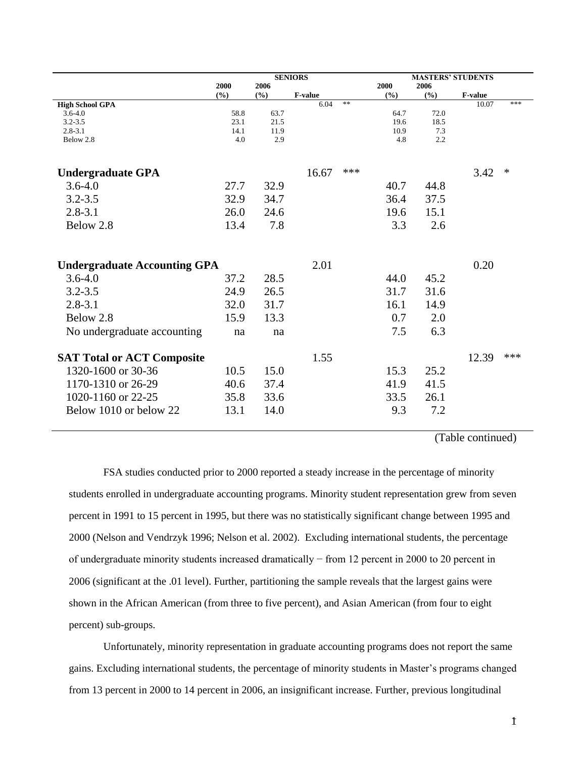|                                       | <b>SENIORS</b> |      |                 |     |      | <b>MASTERS' STUDENTS</b> |                  |        |  |
|---------------------------------------|----------------|------|-----------------|-----|------|--------------------------|------------------|--------|--|
|                                       | 2000           | 2006 |                 |     | 2000 | 2006                     |                  |        |  |
|                                       | (9/0)          | (%)  | F-value<br>6.04 | **  | (%)  | (%)                      | F-value<br>10.07 | ***    |  |
| <b>High School GPA</b><br>$3.6 - 4.0$ | 58.8           | 63.7 |                 |     | 64.7 | 72.0                     |                  |        |  |
| $3.2 - 3.5$                           | 23.1           | 21.5 |                 |     | 19.6 | 18.5                     |                  |        |  |
| $2.8 - 3.1$                           | 14.1           | 11.9 |                 |     | 10.9 | 7.3                      |                  |        |  |
| Below 2.8                             | 4.0            | 2.9  |                 |     | 4.8  | 2.2                      |                  |        |  |
| <b>Undergraduate GPA</b>              |                |      | 16.67           | *** |      |                          | 3.42             | $\ast$ |  |
| $3.6 - 4.0$                           | 27.7           | 32.9 |                 |     | 40.7 | 44.8                     |                  |        |  |
| $3.2 - 3.5$                           | 32.9           | 34.7 |                 |     | 36.4 | 37.5                     |                  |        |  |
| $2.8 - 3.1$                           | 26.0           | 24.6 |                 |     | 19.6 | 15.1                     |                  |        |  |
| Below 2.8                             | 13.4           | 7.8  |                 |     | 3.3  | 2.6                      |                  |        |  |
|                                       |                |      |                 |     |      |                          |                  |        |  |
| <b>Undergraduate Accounting GPA</b>   |                |      | 2.01            |     |      |                          | 0.20             |        |  |
| $3.6 - 4.0$                           | 37.2           | 28.5 |                 |     | 44.0 | 45.2                     |                  |        |  |
| $3.2 - 3.5$                           | 24.9           | 26.5 |                 |     | 31.7 | 31.6                     |                  |        |  |
| $2.8 - 3.1$                           | 32.0           | 31.7 |                 |     | 16.1 | 14.9                     |                  |        |  |
| Below 2.8                             | 15.9           | 13.3 |                 |     | 0.7  | 2.0                      |                  |        |  |
| No undergraduate accounting           | na             | na   |                 |     | 7.5  | 6.3                      |                  |        |  |
|                                       |                |      |                 |     |      |                          |                  |        |  |
| <b>SAT Total or ACT Composite</b>     |                |      | 1.55            |     |      |                          | 12.39            | ***    |  |
| 1320-1600 or 30-36                    | 10.5           | 15.0 |                 |     | 15.3 | 25.2                     |                  |        |  |
| 1170-1310 or 26-29                    | 40.6           | 37.4 |                 |     | 41.9 | 41.5                     |                  |        |  |
| 1020-1160 or 22-25                    | 35.8           | 33.6 |                 |     | 33.5 | 26.1                     |                  |        |  |
| Below 1010 or below 22                | 13.1           | 14.0 |                 |     | 9.3  | 7.2                      |                  |        |  |
|                                       |                |      |                 |     |      |                          |                  |        |  |

(Table continued)

FSA studies conducted prior to 2000 reported a steady increase in the percentage of minority students enrolled in undergraduate accounting programs. Minority student representation grew from seven percent in 1991 to 15 percent in 1995, but there was no statistically significant change between 1995 and 2000 (Nelson and Vendrzyk 1996; Nelson et al. 2002). Excluding international students, the percentage of undergraduate minority students increased dramatically − from 12 percent in 2000 to 20 percent in 2006 (significant at the .01 level). Further, partitioning the sample reveals that the largest gains were shown in the African American (from three to five percent), and Asian American (from four to eight percent) sub-groups.

Unfortunately, minority representation in graduate accounting programs does not report the same gains. Excluding international students, the percentage of minority students in Master's programs changed from 13 percent in 2000 to 14 percent in 2006, an insignificant increase. Further, previous longitudinal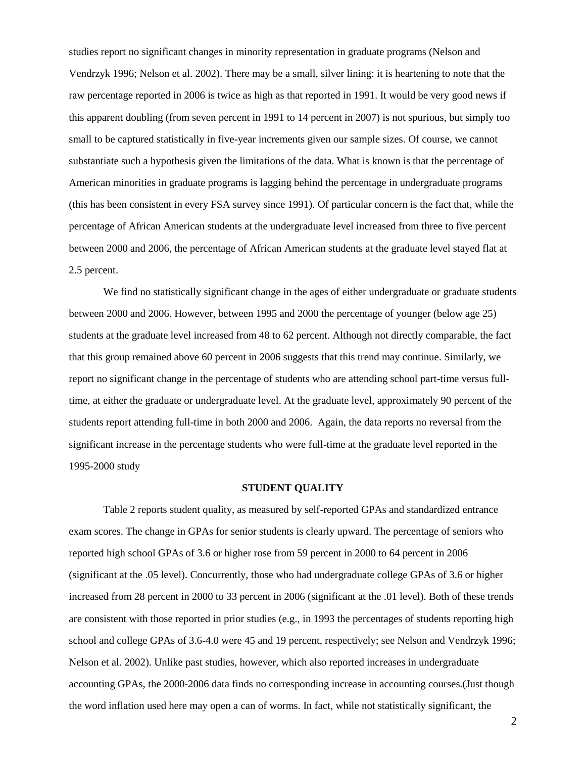studies report no significant changes in minority representation in graduate programs (Nelson and Vendrzyk 1996; Nelson et al. 2002). There may be a small, silver lining: it is heartening to note that the raw percentage reported in 2006 is twice as high as that reported in 1991. It would be very good news if this apparent doubling (from seven percent in 1991 to 14 percent in 2007) is not spurious, but simply too small to be captured statistically in five-year increments given our sample sizes. Of course, we cannot substantiate such a hypothesis given the limitations of the data. What is known is that the percentage of American minorities in graduate programs is lagging behind the percentage in undergraduate programs (this has been consistent in every FSA survey since 1991). Of particular concern is the fact that, while the percentage of African American students at the undergraduate level increased from three to five percent between 2000 and 2006, the percentage of African American students at the graduate level stayed flat at 2.5 percent.

We find no statistically significant change in the ages of either undergraduate or graduate students between 2000 and 2006. However, between 1995 and 2000 the percentage of younger (below age 25) students at the graduate level increased from 48 to 62 percent. Although not directly comparable, the fact that this group remained above 60 percent in 2006 suggests that this trend may continue. Similarly, we report no significant change in the percentage of students who are attending school part-time versus fulltime, at either the graduate or undergraduate level. At the graduate level, approximately 90 percent of the students report attending full-time in both 2000 and 2006. Again, the data reports no reversal from the significant increase in the percentage students who were full-time at the graduate level reported in the 1995-2000 study

#### **STUDENT QUALITY**

Table 2 reports student quality, as measured by self-reported GPAs and standardized entrance exam scores. The change in GPAs for senior students is clearly upward. The percentage of seniors who reported high school GPAs of 3.6 or higher rose from 59 percent in 2000 to 64 percent in 2006 (significant at the .05 level). Concurrently, those who had undergraduate college GPAs of 3.6 or higher increased from 28 percent in 2000 to 33 percent in 2006 (significant at the .01 level). Both of these trends are consistent with those reported in prior studies (e.g., in 1993 the percentages of students reporting high school and college GPAs of 3.6-4.0 were 45 and 19 percent, respectively; see Nelson and Vendrzyk 1996; Nelson et al. 2002). Unlike past studies, however, which also reported increases in undergraduate accounting GPAs, the 2000-2006 data finds no corresponding increase in accounting courses.(Just though the word inflation used here may open a can of worms. In fact, while not statistically significant, the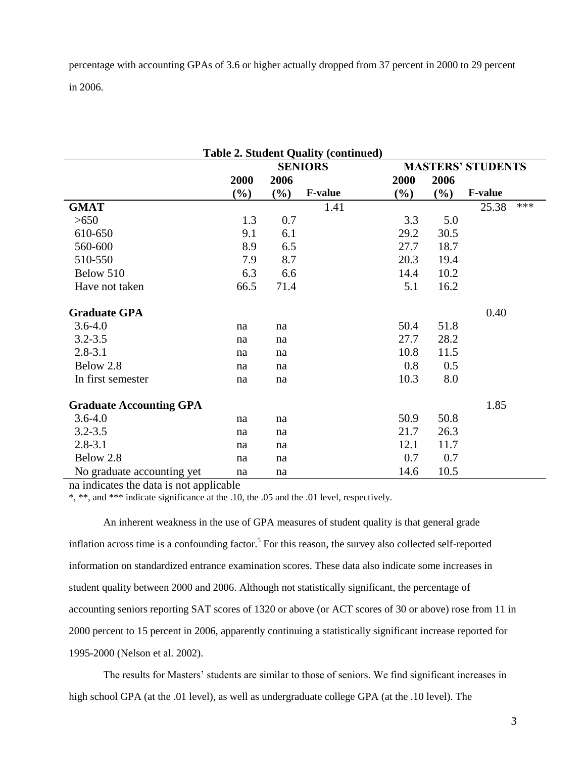percentage with accounting GPAs of 3.6 or higher actually dropped from 37 percent in 2000 to 29 percent in 2006.

| <b>Table 2. Student Quality (continued)</b> |        |                |                |        |                          |                |     |  |  |  |
|---------------------------------------------|--------|----------------|----------------|--------|--------------------------|----------------|-----|--|--|--|
|                                             |        | <b>SENIORS</b> |                |        | <b>MASTERS' STUDENTS</b> |                |     |  |  |  |
|                                             | 2000   | 2006           |                | 2000   | 2006                     |                |     |  |  |  |
|                                             | $(\%)$ | $(\%)$         | <b>F-value</b> | $(\%)$ | $(\%)$                   | <b>F-value</b> |     |  |  |  |
| <b>GMAT</b>                                 |        |                | 1.41           |        |                          | 25.38          | *** |  |  |  |
| >650                                        | 1.3    | 0.7            |                | 3.3    | 5.0                      |                |     |  |  |  |
| 610-650                                     | 9.1    | 6.1            |                | 29.2   | 30.5                     |                |     |  |  |  |
| 560-600                                     | 8.9    | 6.5            |                | 27.7   | 18.7                     |                |     |  |  |  |
| 510-550                                     | 7.9    | 8.7            |                | 20.3   | 19.4                     |                |     |  |  |  |
| Below 510                                   | 6.3    | 6.6            |                | 14.4   | 10.2                     |                |     |  |  |  |
| Have not taken                              | 66.5   | 71.4           |                | 5.1    | 16.2                     |                |     |  |  |  |
| <b>Graduate GPA</b>                         |        |                |                |        |                          | 0.40           |     |  |  |  |
| $3.6 - 4.0$                                 | na     | na             |                | 50.4   | 51.8                     |                |     |  |  |  |
| $3.2 - 3.5$                                 | na     | na             |                | 27.7   | 28.2                     |                |     |  |  |  |
| $2.8 - 3.1$                                 | na     | na             |                | 10.8   | 11.5                     |                |     |  |  |  |
| Below 2.8                                   | na     | na             |                | 0.8    | 0.5                      |                |     |  |  |  |
| In first semester                           | na     | na             |                | 10.3   | 8.0                      |                |     |  |  |  |
| <b>Graduate Accounting GPA</b>              |        |                |                |        |                          | 1.85           |     |  |  |  |
| $3.6 - 4.0$                                 | na     | na             |                | 50.9   | 50.8                     |                |     |  |  |  |
| $3.2 - 3.5$                                 | na     | na             |                | 21.7   | 26.3                     |                |     |  |  |  |
| $2.8 - 3.1$                                 | na     | na             |                | 12.1   | 11.7                     |                |     |  |  |  |
| Below 2.8                                   | na     | na             |                | 0.7    | 0.7                      |                |     |  |  |  |
| No graduate accounting yet                  | na     | na             |                | 14.6   | 10.5                     |                |     |  |  |  |

na indicates the data is not applicable

\*, \*\*, and \*\*\* indicate significance at the .10, the .05 and the .01 level, respectively.

An inherent weakness in the use of GPA measures of student quality is that general grade inflation across time is a confounding factor.<sup>5</sup> For this reason, the survey also collected self-reported information on standardized entrance examination scores. These data also indicate some increases in student quality between 2000 and 2006. Although not statistically significant, the percentage of accounting seniors reporting SAT scores of 1320 or above (or ACT scores of 30 or above) rose from 11 in 2000 percent to 15 percent in 2006, apparently continuing a statistically significant increase reported for 1995-2000 (Nelson et al. 2002).

The results for Masters' students are similar to those of seniors. We find significant increases in high school GPA (at the .01 level), as well as undergraduate college GPA (at the .10 level). The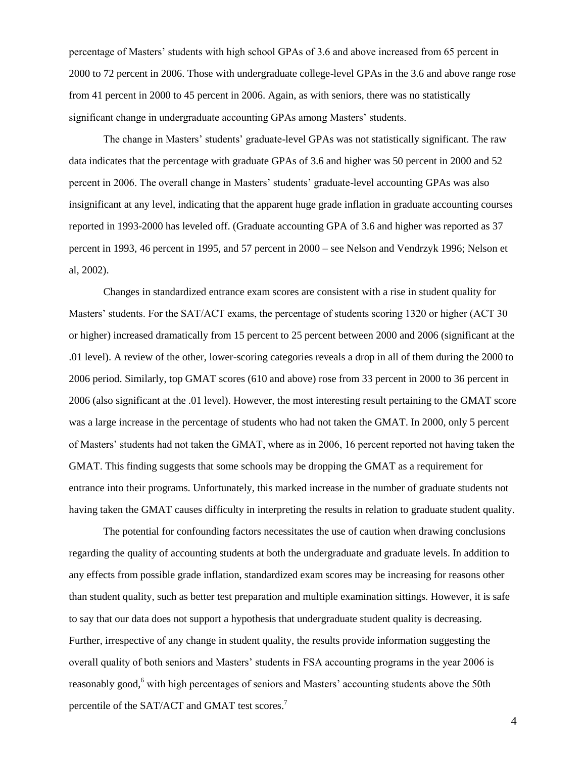percentage of Masters' students with high school GPAs of 3.6 and above increased from 65 percent in 2000 to 72 percent in 2006. Those with undergraduate college-level GPAs in the 3.6 and above range rose from 41 percent in 2000 to 45 percent in 2006. Again, as with seniors, there was no statistically significant change in undergraduate accounting GPAs among Masters' students.

The change in Masters' students' graduate-level GPAs was not statistically significant. The raw data indicates that the percentage with graduate GPAs of 3.6 and higher was 50 percent in 2000 and 52 percent in 2006. The overall change in Masters' students' graduate-level accounting GPAs was also insignificant at any level, indicating that the apparent huge grade inflation in graduate accounting courses reported in 1993-2000 has leveled off. (Graduate accounting GPA of 3.6 and higher was reported as 37 percent in 1993, 46 percent in 1995, and 57 percent in 2000 – see Nelson and Vendrzyk 1996; Nelson et al, 2002).

Changes in standardized entrance exam scores are consistent with a rise in student quality for Masters' students. For the SAT/ACT exams, the percentage of students scoring 1320 or higher (ACT 30 or higher) increased dramatically from 15 percent to 25 percent between 2000 and 2006 (significant at the .01 level). A review of the other, lower-scoring categories reveals a drop in all of them during the 2000 to 2006 period. Similarly, top GMAT scores (610 and above) rose from 33 percent in 2000 to 36 percent in 2006 (also significant at the .01 level). However, the most interesting result pertaining to the GMAT score was a large increase in the percentage of students who had not taken the GMAT. In 2000, only 5 percent of Masters' students had not taken the GMAT, where as in 2006, 16 percent reported not having taken the GMAT. This finding suggests that some schools may be dropping the GMAT as a requirement for entrance into their programs. Unfortunately, this marked increase in the number of graduate students not having taken the GMAT causes difficulty in interpreting the results in relation to graduate student quality.

The potential for confounding factors necessitates the use of caution when drawing conclusions regarding the quality of accounting students at both the undergraduate and graduate levels. In addition to any effects from possible grade inflation, standardized exam scores may be increasing for reasons other than student quality, such as better test preparation and multiple examination sittings. However, it is safe to say that our data does not support a hypothesis that undergraduate student quality is decreasing. Further, irrespective of any change in student quality, the results provide information suggesting the overall quality of both seniors and Masters' students in FSA accounting programs in the year 2006 is reasonably good,<sup>6</sup> with high percentages of seniors and Masters' accounting students above the 50th percentile of the SAT/ACT and GMAT test scores.<sup>7</sup>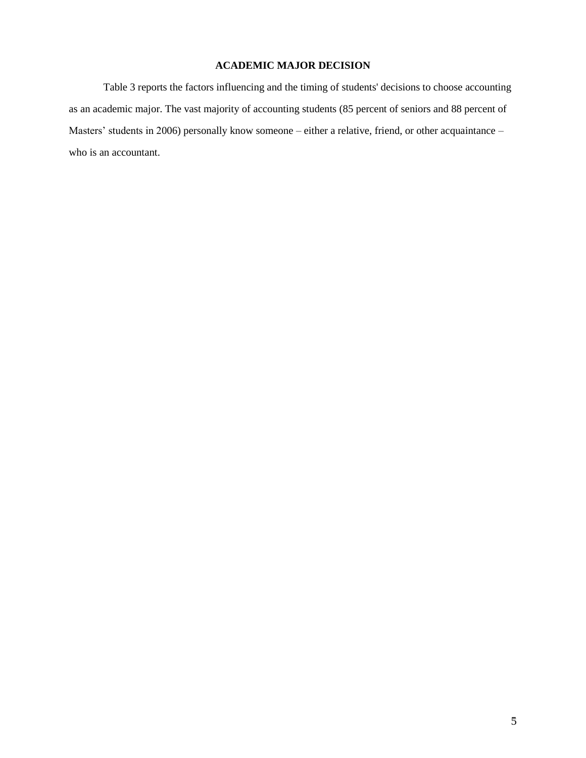# **ACADEMIC MAJOR DECISION**

Table 3 reports the factors influencing and the timing of students' decisions to choose accounting as an academic major. The vast majority of accounting students (85 percent of seniors and 88 percent of Masters' students in 2006) personally know someone – either a relative, friend, or other acquaintance – who is an accountant.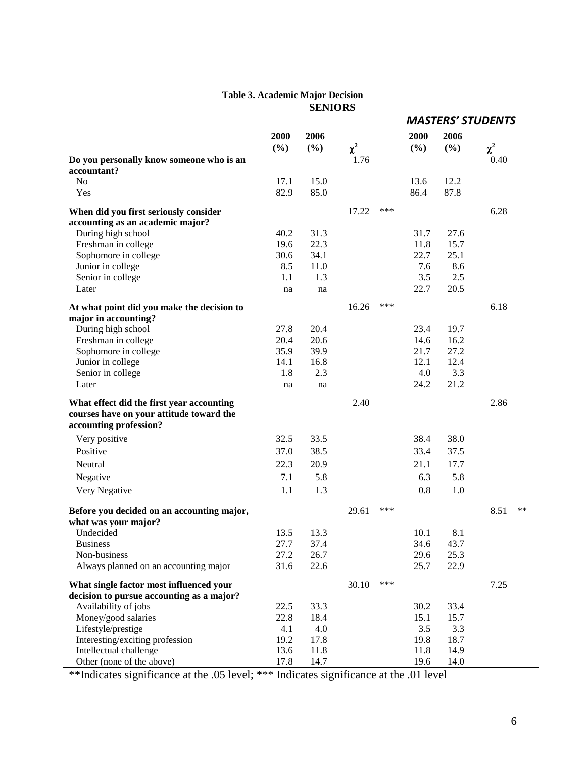|                                            | Table 5. Academic Major Decision | <b>SENIORS</b> |          |     |      |      |                          |
|--------------------------------------------|----------------------------------|----------------|----------|-----|------|------|--------------------------|
|                                            |                                  |                |          |     |      |      | <b>MASTERS' STUDENTS</b> |
|                                            |                                  |                |          |     |      |      |                          |
|                                            | 2000                             | 2006           |          |     | 2000 | 2006 |                          |
|                                            | (%)                              | $(\%)$         | $\chi^2$ |     | (%)  | (%)  | $\chi^2$                 |
| Do you personally know someone who is an   |                                  |                | 1.76     |     |      |      | 0.40                     |
| accountant?                                |                                  |                |          |     |      |      |                          |
| N <sub>o</sub>                             | 17.1                             | 15.0           |          |     | 13.6 | 12.2 |                          |
| Yes                                        | 82.9                             | 85.0           |          |     | 86.4 | 87.8 |                          |
| When did you first seriously consider      |                                  |                | 17.22    | *** |      |      | 6.28                     |
| accounting as an academic major?           |                                  |                |          |     |      |      |                          |
| During high school                         | 40.2                             | 31.3           |          |     | 31.7 | 27.6 |                          |
| Freshman in college                        | 19.6                             | 22.3           |          |     | 11.8 | 15.7 |                          |
| Sophomore in college                       | 30.6                             | 34.1           |          |     | 22.7 | 25.1 |                          |
| Junior in college                          | 8.5                              | 11.0           |          |     | 7.6  | 8.6  |                          |
| Senior in college                          | 1.1                              | 1.3            |          |     | 3.5  | 2.5  |                          |
| Later                                      | na                               | na             |          |     | 22.7 | 20.5 |                          |
|                                            |                                  |                |          |     |      |      |                          |
| At what point did you make the decision to |                                  |                | 16.26    | *** |      |      | 6.18                     |
| major in accounting?                       |                                  |                |          |     |      |      |                          |
| During high school                         | 27.8                             | 20.4           |          |     | 23.4 | 19.7 |                          |
| Freshman in college                        | 20.4                             | 20.6           |          |     | 14.6 | 16.2 |                          |
| Sophomore in college                       | 35.9                             | 39.9           |          |     | 21.7 | 27.2 |                          |
| Junior in college                          | 14.1                             | 16.8           |          |     | 12.1 | 12.4 |                          |
| Senior in college                          | 1.8                              | 2.3            |          |     | 4.0  | 3.3  |                          |
| Later                                      | na                               | na             |          |     | 24.2 | 21.2 |                          |
| What effect did the first year accounting  |                                  |                | 2.40     |     |      |      | 2.86                     |
| courses have on your attitude toward the   |                                  |                |          |     |      |      |                          |
| accounting profession?                     |                                  |                |          |     |      |      |                          |
| Very positive                              | 32.5                             | 33.5           |          |     | 38.4 | 38.0 |                          |
| Positive                                   | 37.0                             | 38.5           |          |     | 33.4 | 37.5 |                          |
| Neutral                                    | 22.3                             | 20.9           |          |     | 21.1 | 17.7 |                          |
| Negative                                   | 7.1                              | 5.8            |          |     | 6.3  | 5.8  |                          |
|                                            | 1.1                              | 1.3            |          |     | 0.8  | 1.0  |                          |
| Very Negative                              |                                  |                |          |     |      |      |                          |
| Before you decided on an accounting major, |                                  |                | 29.61    | *** |      |      | **<br>8.51               |
| what was your major?                       |                                  |                |          |     |      |      |                          |
| Undecided                                  | 13.5                             | 13.3           |          |     | 10.1 | 8.1  |                          |
| <b>Business</b>                            | 27.7                             | 37.4           |          |     | 34.6 | 43.7 |                          |
| Non-business                               | 27.2                             | 26.7           |          |     | 29.6 | 25.3 |                          |
| Always planned on an accounting major      | 31.6                             | 22.6           |          |     | 25.7 | 22.9 |                          |
|                                            |                                  |                |          |     |      |      |                          |
| What single factor most influenced your    |                                  |                | 30.10    | *** |      |      | 7.25                     |
| decision to pursue accounting as a major?  |                                  |                |          |     |      |      |                          |
| Availability of jobs                       | 22.5                             | 33.3           |          |     | 30.2 | 33.4 |                          |
| Money/good salaries                        | 22.8                             | 18.4           |          |     | 15.1 | 15.7 |                          |
| Lifestyle/prestige                         | 4.1                              | 4.0            |          |     | 3.5  | 3.3  |                          |
| Interesting/exciting profession            | 19.2                             | 17.8           |          |     | 19.8 | 18.7 |                          |
| Intellectual challenge                     | 13.6                             | 11.8           |          |     | 11.8 | 14.9 |                          |
| Other (none of the above)                  | 17.8                             | 14.7           |          |     | 19.6 | 14.0 |                          |

**Table 3. Academic Major Decision**

\*\*Indicates significance at the .05 level; \*\*\* Indicates significance at the .01 level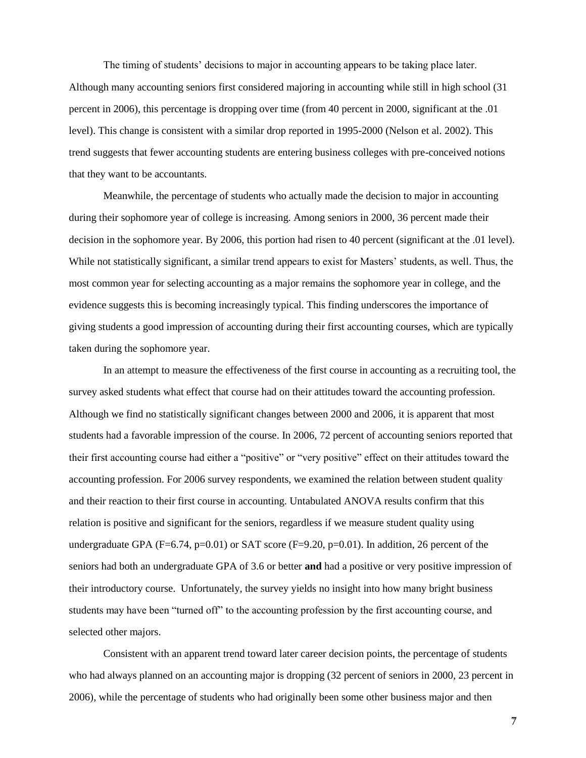The timing of students' decisions to major in accounting appears to be taking place later. Although many accounting seniors first considered majoring in accounting while still in high school (31 percent in 2006), this percentage is dropping over time (from 40 percent in 2000, significant at the .01 level). This change is consistent with a similar drop reported in 1995-2000 (Nelson et al. 2002). This trend suggests that fewer accounting students are entering business colleges with pre-conceived notions that they want to be accountants.

Meanwhile, the percentage of students who actually made the decision to major in accounting during their sophomore year of college is increasing. Among seniors in 2000, 36 percent made their decision in the sophomore year. By 2006, this portion had risen to 40 percent (significant at the .01 level). While not statistically significant, a similar trend appears to exist for Masters' students, as well. Thus, the most common year for selecting accounting as a major remains the sophomore year in college, and the evidence suggests this is becoming increasingly typical. This finding underscores the importance of giving students a good impression of accounting during their first accounting courses, which are typically taken during the sophomore year.

In an attempt to measure the effectiveness of the first course in accounting as a recruiting tool, the survey asked students what effect that course had on their attitudes toward the accounting profession. Although we find no statistically significant changes between 2000 and 2006, it is apparent that most students had a favorable impression of the course. In 2006, 72 percent of accounting seniors reported that their first accounting course had either a "positive" or "very positive" effect on their attitudes toward the accounting profession. For 2006 survey respondents, we examined the relation between student quality and their reaction to their first course in accounting. Untabulated ANOVA results confirm that this relation is positive and significant for the seniors, regardless if we measure student quality using undergraduate GPA ( $F=6.74$ ,  $p=0.01$ ) or SAT score ( $F=9.20$ ,  $p=0.01$ ). In addition, 26 percent of the seniors had both an undergraduate GPA of 3.6 or better **and** had a positive or very positive impression of their introductory course. Unfortunately, the survey yields no insight into how many bright business students may have been "turned off" to the accounting profession by the first accounting course, and selected other majors.

Consistent with an apparent trend toward later career decision points, the percentage of students who had always planned on an accounting major is dropping (32 percent of seniors in 2000, 23 percent in 2006), while the percentage of students who had originally been some other business major and then

-7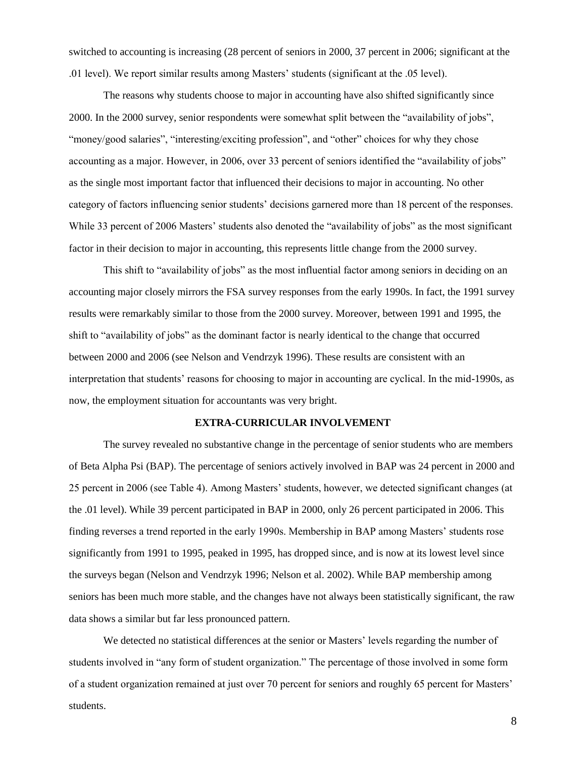switched to accounting is increasing (28 percent of seniors in 2000, 37 percent in 2006; significant at the .01 level). We report similar results among Masters' students (significant at the .05 level).

The reasons why students choose to major in accounting have also shifted significantly since 2000. In the 2000 survey, senior respondents were somewhat split between the "availability of jobs", "money/good salaries", "interesting/exciting profession", and "other" choices for why they chose accounting as a major. However, in 2006, over 33 percent of seniors identified the "availability of jobs" as the single most important factor that influenced their decisions to major in accounting. No other category of factors influencing senior students' decisions garnered more than 18 percent of the responses. While 33 percent of 2006 Masters' students also denoted the "availability of jobs" as the most significant factor in their decision to major in accounting, this represents little change from the 2000 survey.

This shift to "availability of jobs" as the most influential factor among seniors in deciding on an accounting major closely mirrors the FSA survey responses from the early 1990s. In fact, the 1991 survey results were remarkably similar to those from the 2000 survey. Moreover, between 1991 and 1995, the shift to "availability of jobs" as the dominant factor is nearly identical to the change that occurred between 2000 and 2006 (see Nelson and Vendrzyk 1996). These results are consistent with an interpretation that students' reasons for choosing to major in accounting are cyclical. In the mid-1990s, as now, the employment situation for accountants was very bright.

## **EXTRA-CURRICULAR INVOLVEMENT**

The survey revealed no substantive change in the percentage of senior students who are members of Beta Alpha Psi (BAP). The percentage of seniors actively involved in BAP was 24 percent in 2000 and 25 percent in 2006 (see Table 4). Among Masters' students, however, we detected significant changes (at the .01 level). While 39 percent participated in BAP in 2000, only 26 percent participated in 2006. This finding reverses a trend reported in the early 1990s. Membership in BAP among Masters' students rose significantly from 1991 to 1995, peaked in 1995, has dropped since, and is now at its lowest level since the surveys began (Nelson and Vendrzyk 1996; Nelson et al. 2002). While BAP membership among seniors has been much more stable, and the changes have not always been statistically significant, the raw data shows a similar but far less pronounced pattern.

We detected no statistical differences at the senior or Masters' levels regarding the number of students involved in "any form of student organization." The percentage of those involved in some form of a student organization remained at just over 70 percent for seniors and roughly 65 percent for Masters' students.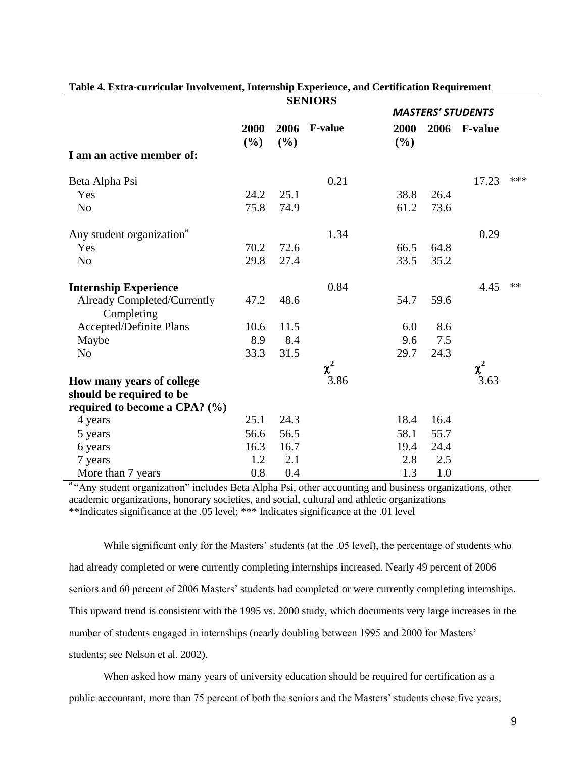|                                           |                |             | <b>SENIORS</b> |             |                          |                |     |  |
|-------------------------------------------|----------------|-------------|----------------|-------------|--------------------------|----------------|-----|--|
|                                           |                |             |                |             | <b>MASTERS' STUDENTS</b> |                |     |  |
|                                           | 2000<br>$(\%)$ | 2006<br>(%) | <b>F-value</b> | 2000<br>(%) | 2006                     | <b>F-value</b> |     |  |
| I am an active member of:                 |                |             |                |             |                          |                |     |  |
| Beta Alpha Psi                            |                |             | 0.21           |             |                          | 17.23          | *** |  |
| Yes                                       | 24.2           | 25.1        |                | 38.8        | 26.4                     |                |     |  |
| N <sub>o</sub>                            | 75.8           | 74.9        |                | 61.2        | 73.6                     |                |     |  |
| Any student organization <sup>a</sup>     |                |             | 1.34           |             |                          | 0.29           |     |  |
| Yes                                       | 70.2           | 72.6        |                | 66.5        | 64.8                     |                |     |  |
| N <sub>o</sub>                            | 29.8           | 27.4        |                | 33.5        | 35.2                     |                |     |  |
| <b>Internship Experience</b>              |                |             | 0.84           |             |                          | 4.45           | **  |  |
| Already Completed/Currently<br>Completing | 47.2           | 48.6        |                | 54.7        | 59.6                     |                |     |  |
| Accepted/Definite Plans                   | 10.6           | 11.5        |                | 6.0         | 8.6                      |                |     |  |
| Maybe                                     | 8.9            | 8.4         |                | 9.6         | 7.5                      |                |     |  |
| N <sub>o</sub>                            | 33.3           | 31.5        |                | 29.7        | 24.3                     |                |     |  |
|                                           |                |             | $\chi^2$       |             |                          | $\chi^2$       |     |  |
| How many years of college                 |                |             | 3.86           |             |                          | 3.63           |     |  |
| should be required to be                  |                |             |                |             |                          |                |     |  |
| required to become a CPA? $(\%)$          |                |             |                |             |                          |                |     |  |
| 4 years                                   | 25.1           | 24.3        |                | 18.4        | 16.4                     |                |     |  |
| 5 years                                   | 56.6           | 56.5        |                | 58.1        | 55.7                     |                |     |  |
| 6 years                                   | 16.3           | 16.7        |                | 19.4        | 24.4                     |                |     |  |
| 7 years                                   | 1.2            | 2.1         |                | 2.8         | 2.5                      |                |     |  |
| More than 7 years                         | 0.8            | 0.4         |                | 1.3         | 1.0                      |                |     |  |

#### **Table 4. Extra-curricular Involvement, Internship Experience, and Certification Requirement SENIORS**

<sup>a "</sup>Any student organization" includes Beta Alpha Psi, other accounting and business organizations, other academic organizations, honorary societies, and social, cultural and athletic organizations \*\*Indicates significance at the .05 level; \*\*\* Indicates significance at the .01 level

While significant only for the Masters' students (at the .05 level), the percentage of students who had already completed or were currently completing internships increased. Nearly 49 percent of 2006 seniors and 60 percent of 2006 Masters' students had completed or were currently completing internships. This upward trend is consistent with the 1995 vs. 2000 study, which documents very large increases in the number of students engaged in internships (nearly doubling between 1995 and 2000 for Masters' students; see Nelson et al. 2002).

When asked how many years of university education should be required for certification as a public accountant, more than 75 percent of both the seniors and the Masters' students chose five years,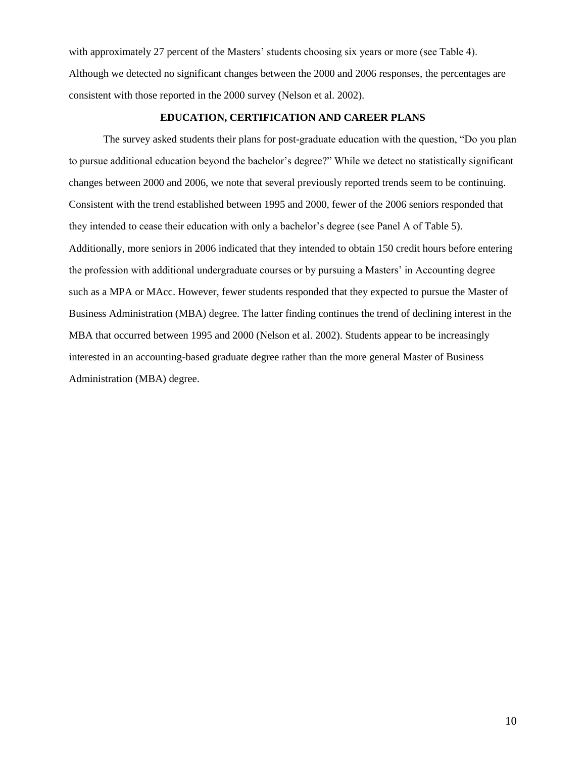with approximately 27 percent of the Masters' students choosing six years or more (see Table 4). Although we detected no significant changes between the 2000 and 2006 responses, the percentages are consistent with those reported in the 2000 survey (Nelson et al. 2002).

## **EDUCATION, CERTIFICATION AND CAREER PLANS**

The survey asked students their plans for post-graduate education with the question, "Do you plan to pursue additional education beyond the bachelor's degree?" While we detect no statistically significant changes between 2000 and 2006, we note that several previously reported trends seem to be continuing. Consistent with the trend established between 1995 and 2000, fewer of the 2006 seniors responded that they intended to cease their education with only a bachelor's degree (see Panel A of Table 5). Additionally, more seniors in 2006 indicated that they intended to obtain 150 credit hours before entering the profession with additional undergraduate courses or by pursuing a Masters' in Accounting degree such as a MPA or MAcc. However, fewer students responded that they expected to pursue the Master of Business Administration (MBA) degree. The latter finding continues the trend of declining interest in the MBA that occurred between 1995 and 2000 (Nelson et al. 2002). Students appear to be increasingly interested in an accounting-based graduate degree rather than the more general Master of Business Administration (MBA) degree.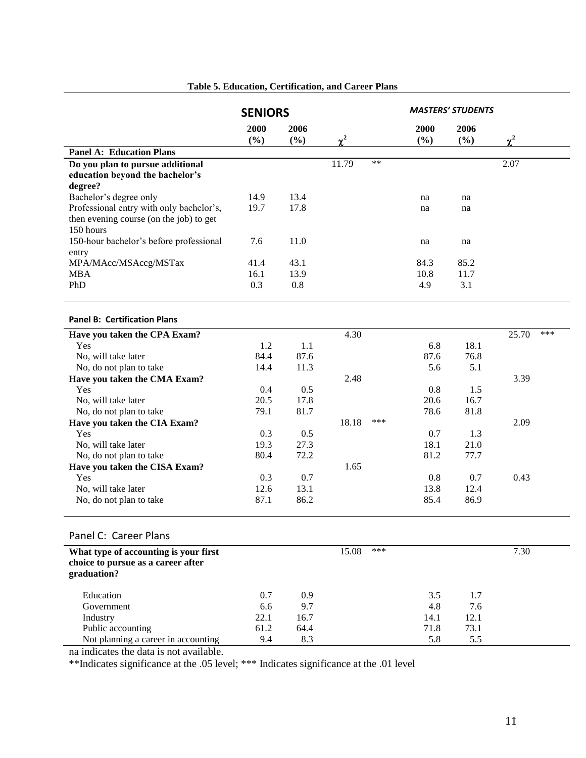|                                          | <b>SENIORS</b> |             |            |       |             | <b>MASTERS' STUDENTS</b> |          |     |
|------------------------------------------|----------------|-------------|------------|-------|-------------|--------------------------|----------|-----|
|                                          | 2000<br>(%)    | 2006<br>(%) | $\gamma^2$ |       | 2000<br>(%) | 2006<br>(%)              | $\chi^2$ |     |
| <b>Panel A: Education Plans</b>          |                |             |            |       |             |                          |          |     |
| Do you plan to pursue additional         |                |             | 11.79      | $***$ |             |                          | 2.07     |     |
| education beyond the bachelor's          |                |             |            |       |             |                          |          |     |
| degree?                                  |                |             |            |       |             |                          |          |     |
| Bachelor's degree only                   | 14.9           | 13.4        |            |       | na          | na                       |          |     |
| Professional entry with only bachelor's, | 19.7           | 17.8        |            |       | na          | na                       |          |     |
| then evening course (on the job) to get  |                |             |            |       |             |                          |          |     |
| 150 hours                                |                |             |            |       |             |                          |          |     |
| 150-hour bachelor's before professional  | 7.6            | 11.0        |            |       | na          | na                       |          |     |
| entry                                    |                |             |            |       |             |                          |          |     |
| MPA/MAcc/MSAccg/MSTax                    | 41.4           | 43.1        |            |       | 84.3        | 85.2                     |          |     |
| <b>MBA</b>                               | 16.1           | 13.9        |            |       | 10.8        | 11.7                     |          |     |
| PhD                                      | 0.3            | $0.8\,$     |            |       | 4.9         | 3.1                      |          |     |
|                                          |                |             |            |       |             |                          |          |     |
| <b>Panel B: Certification Plans</b>      |                |             |            |       |             |                          |          |     |
|                                          |                |             |            |       |             |                          |          |     |
| Have you taken the CPA Exam?             |                |             | 4.30       |       |             |                          | 25.70    | *** |
| Yes                                      | 1.2            | 1.1         |            |       | 6.8         | 18.1                     |          |     |
| No, will take later                      | 84.4           | 87.6        |            |       | 87.6        | 76.8                     |          |     |
| No, do not plan to take                  | 14.4           | 11.3        |            |       | 5.6         | 5.1                      |          |     |
| Have you taken the CMA Exam?             |                |             | 2.48       |       |             |                          | 3.39     |     |
| Yes                                      | 0.4            | 0.5         |            |       | 0.8         | 1.5                      |          |     |
| No, will take later                      | 20.5           | 17.8        |            |       | 20.6        | 16.7                     |          |     |
| No, do not plan to take                  | 79.1           | 81.7        |            | ***   | 78.6        | 81.8                     |          |     |
| Have you taken the CIA Exam?             |                |             | 18.18      |       |             |                          | 2.09     |     |
| Yes                                      | 0.3            | 0.5         |            |       | 0.7         | 1.3                      |          |     |
| No, will take later                      | 19.3           | 27.3        |            |       | 18.1        | 21.0                     |          |     |
| No, do not plan to take                  | 80.4           | 72.2        |            |       | 81.2        | 77.7                     |          |     |
| Have you taken the CISA Exam?            |                |             | 1.65       |       |             |                          |          |     |
| Yes                                      | 0.3            | 0.7         |            |       | 0.8         | 0.7                      | 0.43     |     |
| No, will take later                      | 12.6           | 13.1        |            |       | 13.8        | 12.4                     |          |     |
| No, do not plan to take                  | 87.1           | 86.2        |            |       | 85.4        | 86.9                     |          |     |
|                                          |                |             |            |       |             |                          |          |     |
| Panel C: Career Plans                    |                |             |            |       |             |                          |          |     |
| What type of accounting is your first    |                |             | 15.08      | ***   |             |                          | 7.30     |     |
| choice to pursue as a career after       |                |             |            |       |             |                          |          |     |
| graduation?                              |                |             |            |       |             |                          |          |     |
| Education                                | 0.7            | 0.9         |            |       | 3.5         | 1.7                      |          |     |
| Government                               | 6.6            | 9.7         |            |       | 4.8         | 7.6                      |          |     |
| Industry                                 | 22.1           | 16.7        |            |       | 14.1        | 12.1                     |          |     |
| Public accounting                        | 61.2           | 64.4        |            |       | 71.8        | 73.1                     |          |     |
| Not planning a career in accounting      | 9.4            | 8.3         |            |       | 5.8         | 5.5                      |          |     |

# **Table 5. Education, Certification, and Career Plans**

na indicates the data is not available.

\*\*Indicates significance at the .05 level; \*\*\* Indicates significance at the .01 level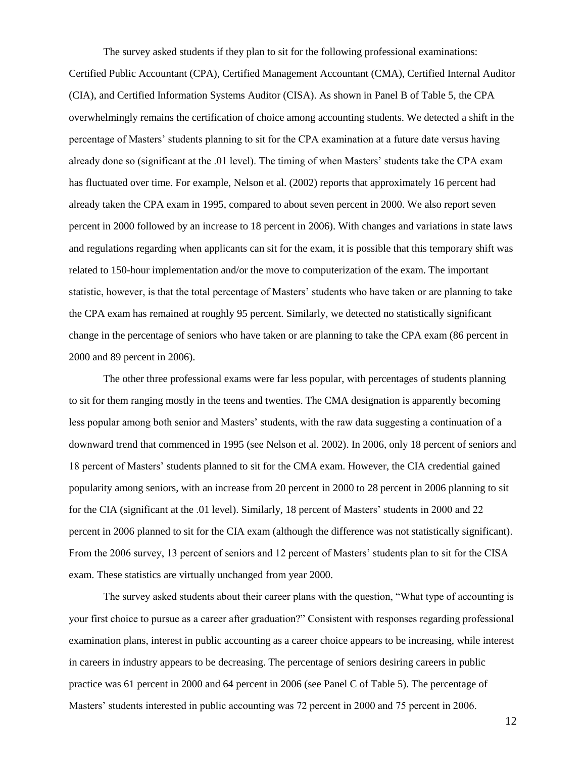The survey asked students if they plan to sit for the following professional examinations: Certified Public Accountant (CPA), Certified Management Accountant (CMA), Certified Internal Auditor (CIA), and Certified Information Systems Auditor (CISA). As shown in Panel B of Table 5, the CPA overwhelmingly remains the certification of choice among accounting students. We detected a shift in the percentage of Masters' students planning to sit for the CPA examination at a future date versus having already done so (significant at the .01 level). The timing of when Masters' students take the CPA exam has fluctuated over time. For example, Nelson et al. (2002) reports that approximately 16 percent had already taken the CPA exam in 1995, compared to about seven percent in 2000. We also report seven percent in 2000 followed by an increase to 18 percent in 2006). With changes and variations in state laws and regulations regarding when applicants can sit for the exam, it is possible that this temporary shift was related to 150-hour implementation and/or the move to computerization of the exam. The important statistic, however, is that the total percentage of Masters' students who have taken or are planning to take the CPA exam has remained at roughly 95 percent. Similarly, we detected no statistically significant change in the percentage of seniors who have taken or are planning to take the CPA exam (86 percent in 2000 and 89 percent in 2006).

The other three professional exams were far less popular, with percentages of students planning to sit for them ranging mostly in the teens and twenties. The CMA designation is apparently becoming less popular among both senior and Masters' students, with the raw data suggesting a continuation of a downward trend that commenced in 1995 (see Nelson et al. 2002). In 2006, only 18 percent of seniors and 18 percent of Masters' students planned to sit for the CMA exam. However, the CIA credential gained popularity among seniors, with an increase from 20 percent in 2000 to 28 percent in 2006 planning to sit for the CIA (significant at the .01 level). Similarly, 18 percent of Masters' students in 2000 and 22 percent in 2006 planned to sit for the CIA exam (although the difference was not statistically significant). From the 2006 survey, 13 percent of seniors and 12 percent of Masters' students plan to sit for the CISA exam. These statistics are virtually unchanged from year 2000.

The survey asked students about their career plans with the question, "What type of accounting is your first choice to pursue as a career after graduation?" Consistent with responses regarding professional examination plans, interest in public accounting as a career choice appears to be increasing, while interest in careers in industry appears to be decreasing. The percentage of seniors desiring careers in public practice was 61 percent in 2000 and 64 percent in 2006 (see Panel C of Table 5). The percentage of Masters' students interested in public accounting was 72 percent in 2000 and 75 percent in 2006.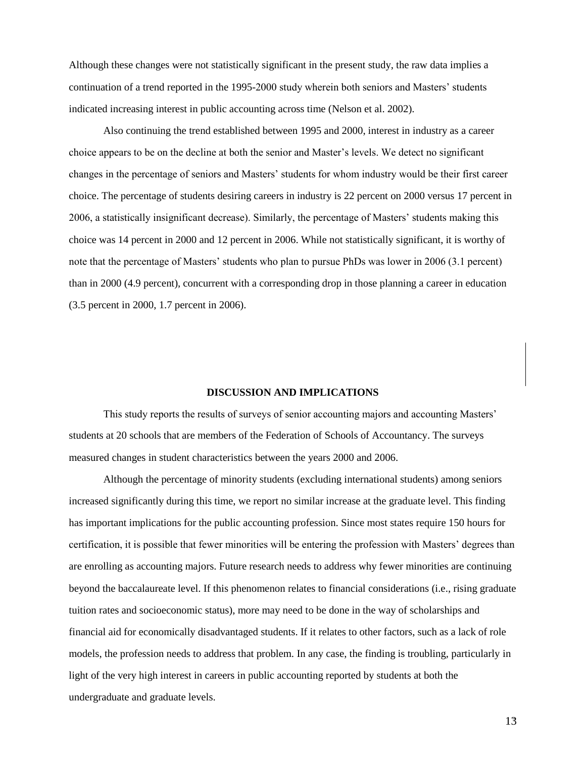Although these changes were not statistically significant in the present study, the raw data implies a continuation of a trend reported in the 1995-2000 study wherein both seniors and Masters' students indicated increasing interest in public accounting across time (Nelson et al. 2002).

Also continuing the trend established between 1995 and 2000, interest in industry as a career choice appears to be on the decline at both the senior and Master's levels. We detect no significant changes in the percentage of seniors and Masters' students for whom industry would be their first career choice. The percentage of students desiring careers in industry is 22 percent on 2000 versus 17 percent in 2006, a statistically insignificant decrease). Similarly, the percentage of Masters' students making this choice was 14 percent in 2000 and 12 percent in 2006. While not statistically significant, it is worthy of note that the percentage of Masters' students who plan to pursue PhDs was lower in 2006 (3.1 percent) than in 2000 (4.9 percent), concurrent with a corresponding drop in those planning a career in education (3.5 percent in 2000, 1.7 percent in 2006).

#### **DISCUSSION AND IMPLICATIONS**

This study reports the results of surveys of senior accounting majors and accounting Masters' students at 20 schools that are members of the Federation of Schools of Accountancy. The surveys measured changes in student characteristics between the years 2000 and 2006.

Although the percentage of minority students (excluding international students) among seniors increased significantly during this time, we report no similar increase at the graduate level. This finding has important implications for the public accounting profession. Since most states require 150 hours for certification, it is possible that fewer minorities will be entering the profession with Masters' degrees than are enrolling as accounting majors. Future research needs to address why fewer minorities are continuing beyond the baccalaureate level. If this phenomenon relates to financial considerations (i.e., rising graduate tuition rates and socioeconomic status), more may need to be done in the way of scholarships and financial aid for economically disadvantaged students. If it relates to other factors, such as a lack of role models, the profession needs to address that problem. In any case, the finding is troubling, particularly in light of the very high interest in careers in public accounting reported by students at both the undergraduate and graduate levels.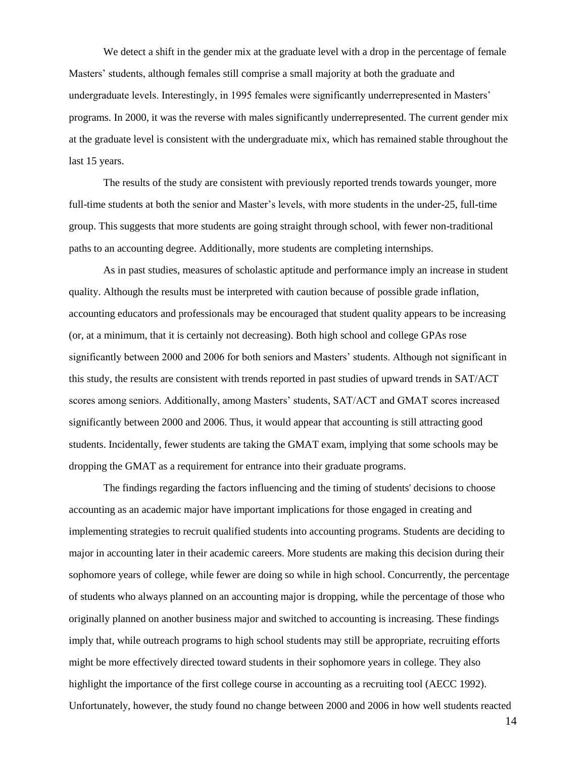We detect a shift in the gender mix at the graduate level with a drop in the percentage of female Masters' students, although females still comprise a small majority at both the graduate and undergraduate levels. Interestingly, in 1995 females were significantly underrepresented in Masters' programs. In 2000, it was the reverse with males significantly underrepresented. The current gender mix at the graduate level is consistent with the undergraduate mix, which has remained stable throughout the last 15 years.

The results of the study are consistent with previously reported trends towards younger, more full-time students at both the senior and Master's levels, with more students in the under-25, full-time group. This suggests that more students are going straight through school, with fewer non-traditional paths to an accounting degree. Additionally, more students are completing internships.

As in past studies, measures of scholastic aptitude and performance imply an increase in student quality. Although the results must be interpreted with caution because of possible grade inflation, accounting educators and professionals may be encouraged that student quality appears to be increasing (or, at a minimum, that it is certainly not decreasing). Both high school and college GPAs rose significantly between 2000 and 2006 for both seniors and Masters' students. Although not significant in this study, the results are consistent with trends reported in past studies of upward trends in SAT/ACT scores among seniors. Additionally, among Masters' students, SAT/ACT and GMAT scores increased significantly between 2000 and 2006. Thus, it would appear that accounting is still attracting good students. Incidentally, fewer students are taking the GMAT exam, implying that some schools may be dropping the GMAT as a requirement for entrance into their graduate programs.

The findings regarding the factors influencing and the timing of students' decisions to choose accounting as an academic major have important implications for those engaged in creating and implementing strategies to recruit qualified students into accounting programs. Students are deciding to major in accounting later in their academic careers. More students are making this decision during their sophomore years of college, while fewer are doing so while in high school. Concurrently, the percentage of students who always planned on an accounting major is dropping, while the percentage of those who originally planned on another business major and switched to accounting is increasing. These findings imply that, while outreach programs to high school students may still be appropriate, recruiting efforts might be more effectively directed toward students in their sophomore years in college. They also highlight the importance of the first college course in accounting as a recruiting tool (AECC 1992). Unfortunately, however, the study found no change between 2000 and 2006 in how well students reacted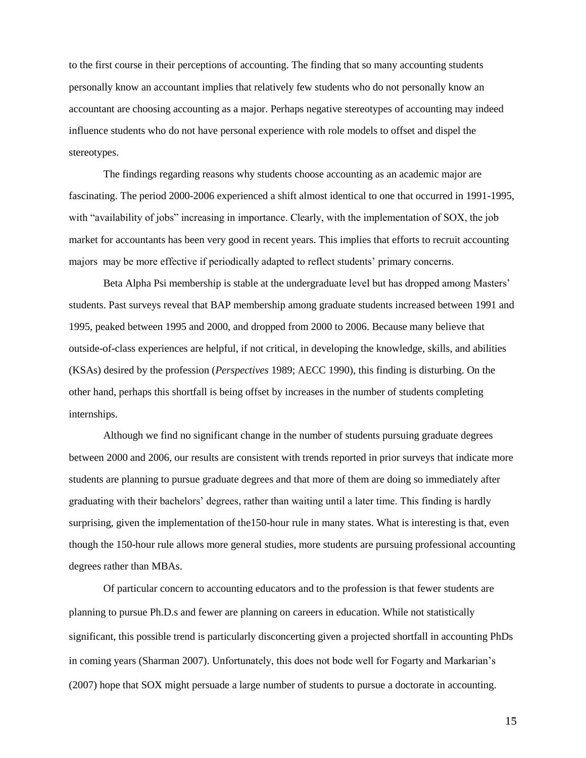to the first course in their perceptions of accounting. The finding that so many accounting students personally know an accountant implies that relatively few students who do not personally know an accountant are choosing accounting as a major. Perhaps negative stereotypes of accounting may indeed influence students who do not have personal experience with role models to offset and dispel the stereotypes.

The findings regarding reasons why students choose accounting as an academic major are fascinating. The period 2000-2006 experienced a shift almost identical to one that occurred in 1991-1995, with "availability of jobs" increasing in importance. Clearly, with the implementation of SOX, the job market for accountants has been very good in recent years. This implies that efforts to recruit accounting majors may be more effective if periodically adapted to reflect students' primary concerns.

Beta Alpha Psi membership is stable at the undergraduate level but has dropped among Masters' students. Past surveys reveal that BAP membership among graduate students increased between 1991 and 1995, peaked between 1995 and 2000, and dropped from 2000 to 2006. Because many believe that outside-of-class experiences are helpful, if not critical, in developing the knowledge, skills, and abilities (KSAs) desired by the profession (*Perspectives* 1989; AECC 1990), this finding is disturbing. On the other hand, perhaps this shortfall is being offset by increases in the number of students completing internships.

Although we find no significant change in the number of students pursuing graduate degrees between 2000 and 2006, our results are consistent with trends reported in prior surveys that indicate more students are planning to pursue graduate degrees and that more of them are doing so immediately after graduating with their bachelors' degrees, rather than waiting until a later time. This finding is hardly surprising, given the implementation of the150-hour rule in many states. What is interesting is that, even though the 150-hour rule allows more general studies, more students are pursuing professional accounting degrees rather than MBAs.

Of particular concern to accounting educators and to the profession is that fewer students are planning to pursue Ph.D.s and fewer are planning on careers in education. While not statistically significant, this possible trend is particularly disconcerting given a projected shortfall in accounting PhDs in coming years (Sharman 2007). Unfortunately, this does not bode well for Fogarty and Markarian's (2007) hope that SOX might persuade a large number of students to pursue a doctorate in accounting.

- 15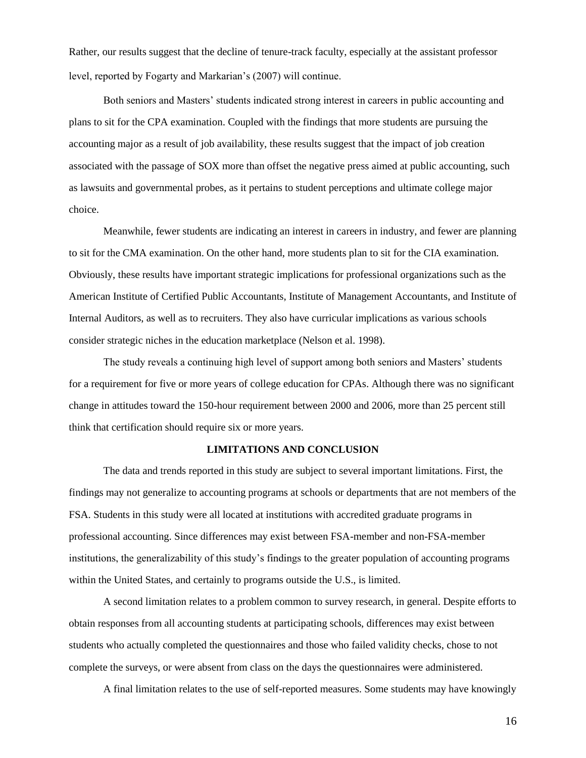Rather, our results suggest that the decline of tenure-track faculty, especially at the assistant professor level, reported by Fogarty and Markarian's (2007) will continue.

Both seniors and Masters' students indicated strong interest in careers in public accounting and plans to sit for the CPA examination. Coupled with the findings that more students are pursuing the accounting major as a result of job availability, these results suggest that the impact of job creation associated with the passage of SOX more than offset the negative press aimed at public accounting, such as lawsuits and governmental probes, as it pertains to student perceptions and ultimate college major choice.

Meanwhile, fewer students are indicating an interest in careers in industry, and fewer are planning to sit for the CMA examination. On the other hand, more students plan to sit for the CIA examination. Obviously, these results have important strategic implications for professional organizations such as the American Institute of Certified Public Accountants, Institute of Management Accountants, and Institute of Internal Auditors, as well as to recruiters. They also have curricular implications as various schools consider strategic niches in the education marketplace (Nelson et al. 1998).

The study reveals a continuing high level of support among both seniors and Masters' students for a requirement for five or more years of college education for CPAs. Although there was no significant change in attitudes toward the 150-hour requirement between 2000 and 2006, more than 25 percent still think that certification should require six or more years.

## **LIMITATIONS AND CONCLUSION**

The data and trends reported in this study are subject to several important limitations. First, the findings may not generalize to accounting programs at schools or departments that are not members of the FSA. Students in this study were all located at institutions with accredited graduate programs in professional accounting. Since differences may exist between FSA-member and non-FSA-member institutions, the generalizability of this study's findings to the greater population of accounting programs within the United States, and certainly to programs outside the U.S., is limited.

A second limitation relates to a problem common to survey research, in general. Despite efforts to obtain responses from all accounting students at participating schools, differences may exist between students who actually completed the questionnaires and those who failed validity checks, chose to not complete the surveys, or were absent from class on the days the questionnaires were administered.

A final limitation relates to the use of self-reported measures. Some students may have knowingly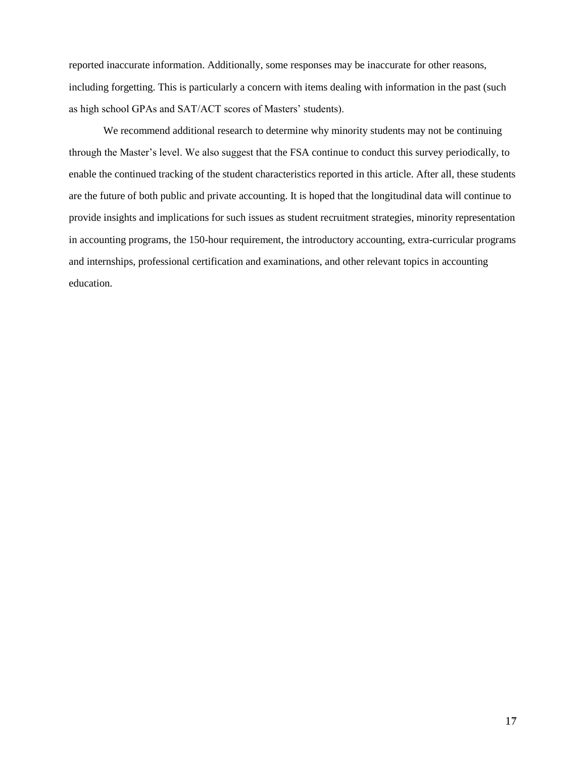reported inaccurate information. Additionally, some responses may be inaccurate for other reasons, including forgetting. This is particularly a concern with items dealing with information in the past (such as high school GPAs and SAT/ACT scores of Masters' students).

We recommend additional research to determine why minority students may not be continuing through the Master's level. We also suggest that the FSA continue to conduct this survey periodically, to enable the continued tracking of the student characteristics reported in this article. After all, these students are the future of both public and private accounting. It is hoped that the longitudinal data will continue to provide insights and implications for such issues as student recruitment strategies, minority representation in accounting programs, the 150-hour requirement, the introductory accounting, extra-curricular programs and internships, professional certification and examinations, and other relevant topics in accounting education.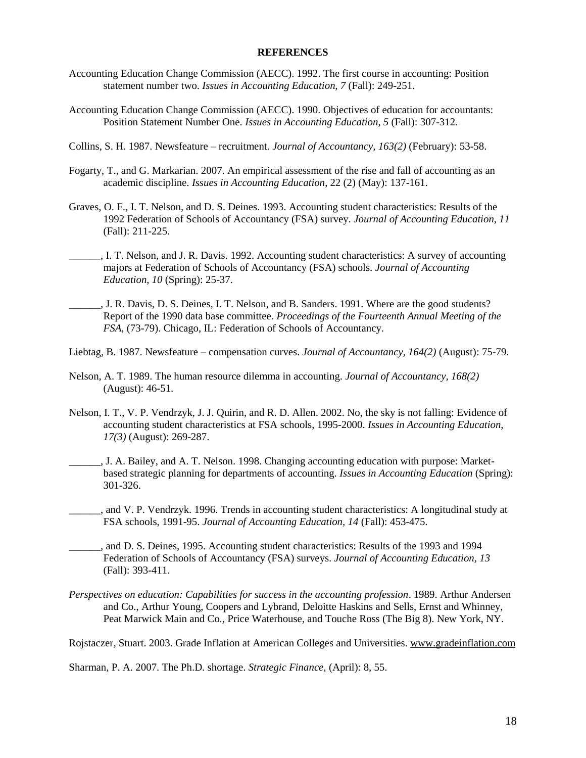## **REFERENCES**

- Accounting Education Change Commission (AECC). 1992. The first course in accounting: Position statement number two. *Issues in Accounting Education, 7* (Fall): 249-251.
- Accounting Education Change Commission (AECC). 1990. Objectives of education for accountants: Position Statement Number One. *Issues in Accounting Education, 5* (Fall): 307-312.
- Collins, S. H. 1987. Newsfeature recruitment. *Journal of Accountancy, 163(2)* (February): 53-58.
- Fogarty, T., and G. Markarian. 2007. An empirical assessment of the rise and fall of accounting as an academic discipline. *Issues in Accounting Education*, 22 (2) (May): 137-161.
- Graves, O. F., I. T. Nelson, and D. S. Deines. 1993. Accounting student characteristics: Results of the 1992 Federation of Schools of Accountancy (FSA) survey. *Journal of Accounting Education, 11* (Fall): 211-225.
- \_\_\_\_\_\_, I. T. Nelson, and J. R. Davis. 1992. Accounting student characteristics: A survey of accounting majors at Federation of Schools of Accountancy (FSA) schools. *Journal of Accounting Education, 10* (Spring): 25-37.
- \_\_\_\_\_\_, J. R. Davis, D. S. Deines, I. T. Nelson, and B. Sanders. 1991. Where are the good students? Report of the 1990 data base committee. *Proceedings of the Fourteenth Annual Meeting of the FSA*, (73-79). Chicago, IL: Federation of Schools of Accountancy.
- Liebtag, B. 1987. Newsfeature compensation curves. *Journal of Accountancy, 164(2)* (August): 75-79.
- Nelson, A. T. 1989. The human resource dilemma in accounting. *Journal of Accountancy, 168(2)* (August): 46-51.
- Nelson, I. T., V. P. Vendrzyk, J. J. Quirin, and R. D. Allen. 2002. No, the sky is not falling: Evidence of accounting student characteristics at FSA schools, 1995-2000. *Issues in Accounting Education, 17(3)* (August): 269-287.
- \_\_\_\_\_\_, J. A. Bailey, and A. T. Nelson. 1998. Changing accounting education with purpose: Marketbased strategic planning for departments of accounting. *Issues in Accounting Education* (Spring): 301-326.
- \_\_\_\_\_\_, and V. P. Vendrzyk. 1996. Trends in accounting student characteristics: A longitudinal study at FSA schools, 1991-95. *Journal of Accounting Education, 14* (Fall): 453-475.
- \_\_\_\_\_\_, and D. S. Deines, 1995. Accounting student characteristics: Results of the 1993 and 1994 Federation of Schools of Accountancy (FSA) surveys. *Journal of Accounting Education, 13*  (Fall): 393-411.
- *Perspectives on education: Capabilities for success in the accounting profession*. 1989. Arthur Andersen and Co., Arthur Young, Coopers and Lybrand, Deloitte Haskins and Sells, Ernst and Whinney, Peat Marwick Main and Co., Price Waterhouse, and Touche Ross (The Big 8). New York, NY.

Rojstaczer, Stuart. 2003. Grade Inflation at American Colleges and Universities. [www.gradeinflation.com](http://www.gradeinflation.com/)

Sharman, P. A. 2007. The Ph.D. shortage. *Strategic Finance,* (April): 8, 55.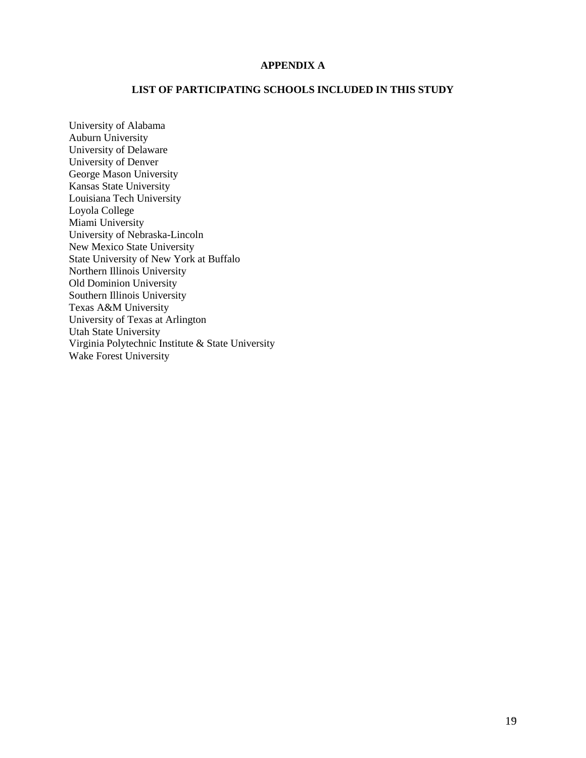# **APPENDIX A**

## **LIST OF PARTICIPATING SCHOOLS INCLUDED IN THIS STUDY**

University of Alabama Auburn University University of Delaware University of Denver George Mason University Kansas State University Louisiana Tech University Loyola College Miami University University of Nebraska-Lincoln New Mexico State University State University of New York at Buffalo Northern Illinois University Old Dominion University Southern Illinois University Texas A&M University University of Texas at Arlington Utah State University Virginia Polytechnic Institute & State University Wake Forest University